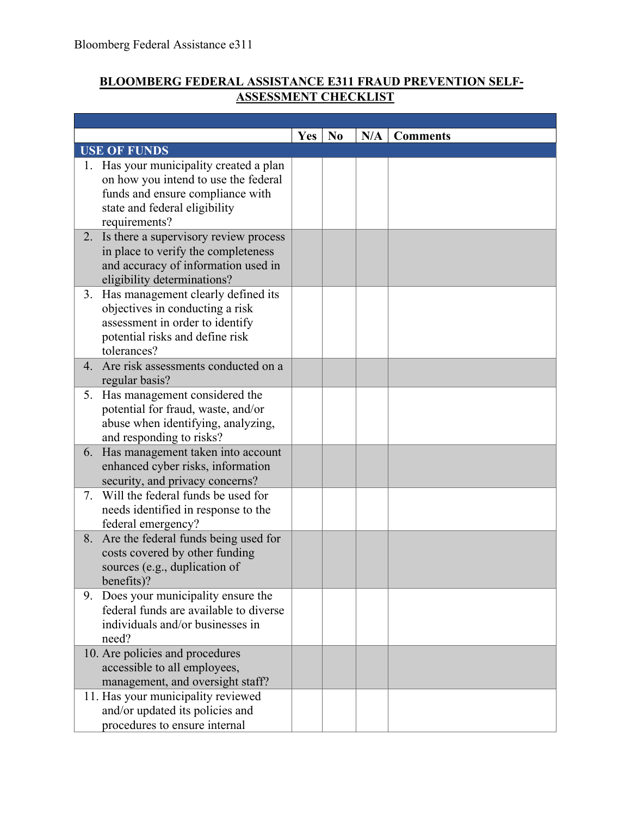## **BLOOMBERG FEDERAL ASSISTANCE E311 FRAUD PREVENTION SELF-ASSESSMENT CHECKLIST**

٦

|    |                                                                       | <b>Yes</b> | N <sub>0</sub> | N/A | <b>Comments</b> |
|----|-----------------------------------------------------------------------|------------|----------------|-----|-----------------|
|    | <b>USE OF FUNDS</b>                                                   |            |                |     |                 |
|    | 1. Has your municipality created a plan                               |            |                |     |                 |
|    | on how you intend to use the federal                                  |            |                |     |                 |
|    | funds and ensure compliance with                                      |            |                |     |                 |
|    | state and federal eligibility                                         |            |                |     |                 |
|    | requirements?                                                         |            |                |     |                 |
| 2. | Is there a supervisory review process                                 |            |                |     |                 |
|    | in place to verify the completeness                                   |            |                |     |                 |
|    | and accuracy of information used in                                   |            |                |     |                 |
|    | eligibility determinations?                                           |            |                |     |                 |
|    | 3. Has management clearly defined its                                 |            |                |     |                 |
|    | objectives in conducting a risk                                       |            |                |     |                 |
|    | assessment in order to identify                                       |            |                |     |                 |
|    | potential risks and define risk                                       |            |                |     |                 |
|    | tolerances?                                                           |            |                |     |                 |
| 4. | Are risk assessments conducted on a                                   |            |                |     |                 |
|    | regular basis?                                                        |            |                |     |                 |
|    | 5. Has management considered the                                      |            |                |     |                 |
|    | potential for fraud, waste, and/or                                    |            |                |     |                 |
|    | abuse when identifying, analyzing,                                    |            |                |     |                 |
|    | and responding to risks?                                              |            |                |     |                 |
|    | 6. Has management taken into account                                  |            |                |     |                 |
|    | enhanced cyber risks, information                                     |            |                |     |                 |
| 7. | security, and privacy concerns?<br>Will the federal funds be used for |            |                |     |                 |
|    | needs identified in response to the                                   |            |                |     |                 |
|    | federal emergency?                                                    |            |                |     |                 |
| 8. | Are the federal funds being used for                                  |            |                |     |                 |
|    | costs covered by other funding                                        |            |                |     |                 |
|    | sources (e.g., duplication of                                         |            |                |     |                 |
|    | benefits)?                                                            |            |                |     |                 |
| 9. | Does your municipality ensure the                                     |            |                |     |                 |
|    | federal funds are available to diverse                                |            |                |     |                 |
|    | individuals and/or businesses in                                      |            |                |     |                 |
|    | need?                                                                 |            |                |     |                 |
|    | 10. Are policies and procedures                                       |            |                |     |                 |
|    | accessible to all employees,                                          |            |                |     |                 |
|    | management, and oversight staff?                                      |            |                |     |                 |
|    | 11. Has your municipality reviewed                                    |            |                |     |                 |
|    | and/or updated its policies and                                       |            |                |     |                 |
|    | procedures to ensure internal                                         |            |                |     |                 |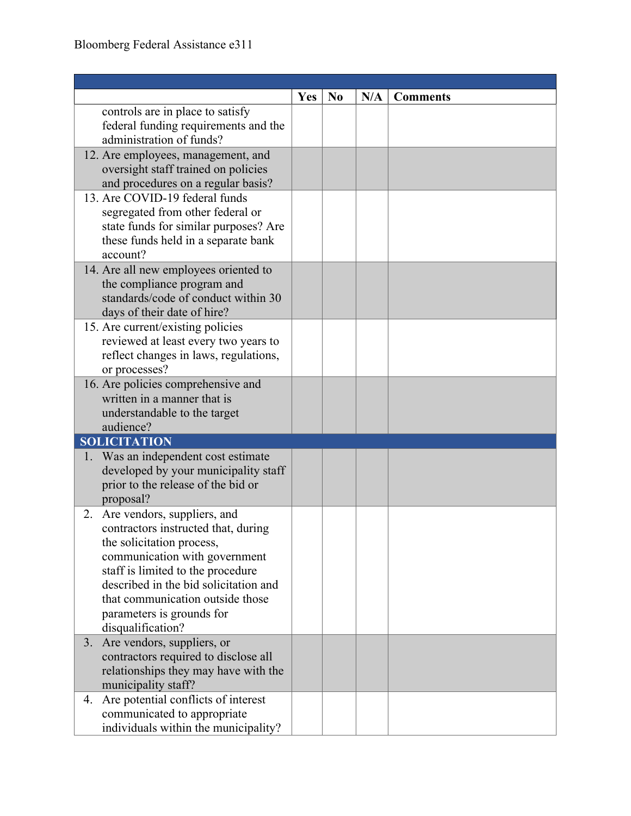|                                                                                                                                                                                                                                                                                                         | <b>Yes</b> | N <sub>0</sub> | N/A | <b>Comments</b> |
|---------------------------------------------------------------------------------------------------------------------------------------------------------------------------------------------------------------------------------------------------------------------------------------------------------|------------|----------------|-----|-----------------|
| controls are in place to satisfy<br>federal funding requirements and the<br>administration of funds?                                                                                                                                                                                                    |            |                |     |                 |
| 12. Are employees, management, and<br>oversight staff trained on policies<br>and procedures on a regular basis?                                                                                                                                                                                         |            |                |     |                 |
| 13. Are COVID-19 federal funds<br>segregated from other federal or<br>state funds for similar purposes? Are<br>these funds held in a separate bank<br>account?                                                                                                                                          |            |                |     |                 |
| 14. Are all new employees oriented to<br>the compliance program and<br>standards/code of conduct within 30<br>days of their date of hire?                                                                                                                                                               |            |                |     |                 |
| 15. Are current/existing policies<br>reviewed at least every two years to<br>reflect changes in laws, regulations,<br>or processes?                                                                                                                                                                     |            |                |     |                 |
| 16. Are policies comprehensive and<br>written in a manner that is<br>understandable to the target<br>audience?                                                                                                                                                                                          |            |                |     |                 |
| <b>SOLICITATION</b>                                                                                                                                                                                                                                                                                     |            |                |     |                 |
| 1. Was an independent cost estimate<br>developed by your municipality staff<br>prior to the release of the bid or<br>proposal?                                                                                                                                                                          |            |                |     |                 |
| 2. Are vendors, suppliers, and<br>contractors instructed that, during<br>the solicitation process,<br>communication with government<br>staff is limited to the procedure<br>described in the bid solicitation and<br>that communication outside those<br>parameters is grounds for<br>disqualification? |            |                |     |                 |
| Are vendors, suppliers, or<br>3.<br>contractors required to disclose all<br>relationships they may have with the<br>municipality staff?                                                                                                                                                                 |            |                |     |                 |
| Are potential conflicts of interest<br>4.<br>communicated to appropriate<br>individuals within the municipality?                                                                                                                                                                                        |            |                |     |                 |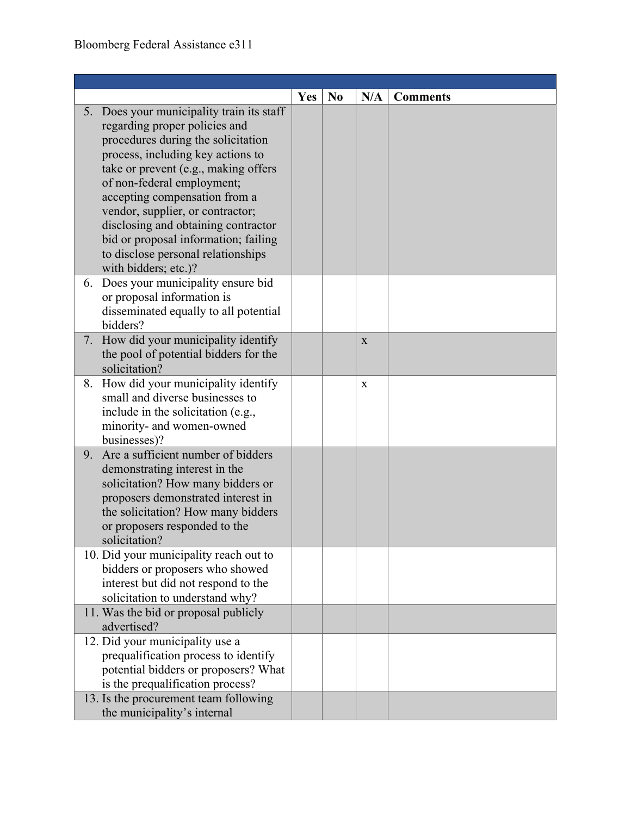|    |                                                                                                                                                                                                                                                                                                                                                                              | Yes | N <sub>0</sub> | N/A         | <b>Comments</b> |
|----|------------------------------------------------------------------------------------------------------------------------------------------------------------------------------------------------------------------------------------------------------------------------------------------------------------------------------------------------------------------------------|-----|----------------|-------------|-----------------|
| 5. | Does your municipality train its staff<br>regarding proper policies and<br>procedures during the solicitation<br>process, including key actions to<br>take or prevent (e.g., making offers<br>of non-federal employment;<br>accepting compensation from a<br>vendor, supplier, or contractor;<br>disclosing and obtaining contractor<br>bid or proposal information; failing |     |                |             |                 |
|    | to disclose personal relationships<br>with bidders; etc.)?                                                                                                                                                                                                                                                                                                                   |     |                |             |                 |
| 6. | Does your municipality ensure bid<br>or proposal information is<br>disseminated equally to all potential<br>bidders?                                                                                                                                                                                                                                                         |     |                |             |                 |
|    | 7. How did your municipality identify<br>the pool of potential bidders for the<br>solicitation?                                                                                                                                                                                                                                                                              |     |                | X           |                 |
| 8. | How did your municipality identify<br>small and diverse businesses to<br>include in the solicitation (e.g.,<br>minority- and women-owned<br>businesses)?                                                                                                                                                                                                                     |     |                | $\mathbf X$ |                 |
| 9. | Are a sufficient number of bidders<br>demonstrating interest in the<br>solicitation? How many bidders or<br>proposers demonstrated interest in<br>the solicitation? How many bidders<br>or proposers responded to the<br>solicitation?                                                                                                                                       |     |                |             |                 |
|    | 10. Did your municipality reach out to<br>bidders or proposers who showed<br>interest but did not respond to the<br>solicitation to understand why?                                                                                                                                                                                                                          |     |                |             |                 |
|    | 11. Was the bid or proposal publicly<br>advertised?                                                                                                                                                                                                                                                                                                                          |     |                |             |                 |
|    | 12. Did your municipality use a<br>prequalification process to identify<br>potential bidders or proposers? What<br>is the prequalification process?                                                                                                                                                                                                                          |     |                |             |                 |
|    | 13. Is the procurement team following<br>the municipality's internal                                                                                                                                                                                                                                                                                                         |     |                |             |                 |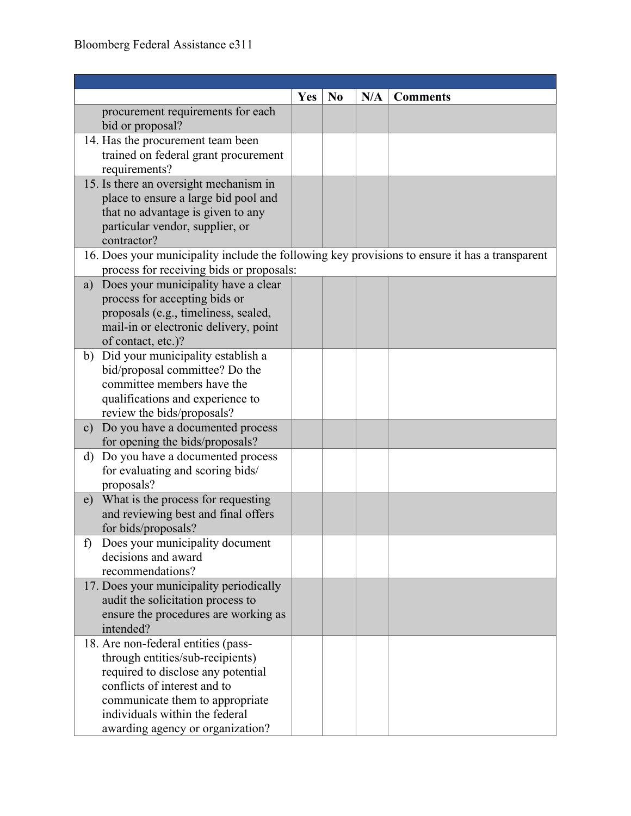|                                                                                                                                            | <b>Yes</b> | No | N/A | <b>Comments</b> |
|--------------------------------------------------------------------------------------------------------------------------------------------|------------|----|-----|-----------------|
| procurement requirements for each<br>bid or proposal?                                                                                      |            |    |     |                 |
| 14. Has the procurement team been                                                                                                          |            |    |     |                 |
| trained on federal grant procurement                                                                                                       |            |    |     |                 |
| requirements?                                                                                                                              |            |    |     |                 |
| 15. Is there an oversight mechanism in                                                                                                     |            |    |     |                 |
| place to ensure a large bid pool and                                                                                                       |            |    |     |                 |
| that no advantage is given to any                                                                                                          |            |    |     |                 |
| particular vendor, supplier, or                                                                                                            |            |    |     |                 |
| contractor?                                                                                                                                |            |    |     |                 |
| 16. Does your municipality include the following key provisions to ensure it has a transparent<br>process for receiving bids or proposals: |            |    |     |                 |
| a) Does your municipality have a clear                                                                                                     |            |    |     |                 |
| process for accepting bids or                                                                                                              |            |    |     |                 |
| proposals (e.g., timeliness, sealed,                                                                                                       |            |    |     |                 |
| mail-in or electronic delivery, point                                                                                                      |            |    |     |                 |
| of contact, etc.)?                                                                                                                         |            |    |     |                 |
| b) Did your municipality establish a                                                                                                       |            |    |     |                 |
| bid/proposal committee? Do the                                                                                                             |            |    |     |                 |
| committee members have the                                                                                                                 |            |    |     |                 |
| qualifications and experience to                                                                                                           |            |    |     |                 |
| review the bids/proposals?                                                                                                                 |            |    |     |                 |
| c) Do you have a documented process                                                                                                        |            |    |     |                 |
| for opening the bids/proposals?                                                                                                            |            |    |     |                 |
| d) Do you have a documented process                                                                                                        |            |    |     |                 |
| for evaluating and scoring bids/<br>proposals?                                                                                             |            |    |     |                 |
| What is the process for requesting<br>e)                                                                                                   |            |    |     |                 |
| and reviewing best and final offers                                                                                                        |            |    |     |                 |
| for bids/proposals?                                                                                                                        |            |    |     |                 |
| Does your municipality document<br>f)                                                                                                      |            |    |     |                 |
| decisions and award                                                                                                                        |            |    |     |                 |
| recommendations?                                                                                                                           |            |    |     |                 |
| 17. Does your municipality periodically                                                                                                    |            |    |     |                 |
| audit the solicitation process to                                                                                                          |            |    |     |                 |
| ensure the procedures are working as                                                                                                       |            |    |     |                 |
| intended?                                                                                                                                  |            |    |     |                 |
| 18. Are non-federal entities (pass-                                                                                                        |            |    |     |                 |
| through entities/sub-recipients)                                                                                                           |            |    |     |                 |
| required to disclose any potential                                                                                                         |            |    |     |                 |
| conflicts of interest and to                                                                                                               |            |    |     |                 |
| communicate them to appropriate                                                                                                            |            |    |     |                 |
| individuals within the federal                                                                                                             |            |    |     |                 |
| awarding agency or organization?                                                                                                           |            |    |     |                 |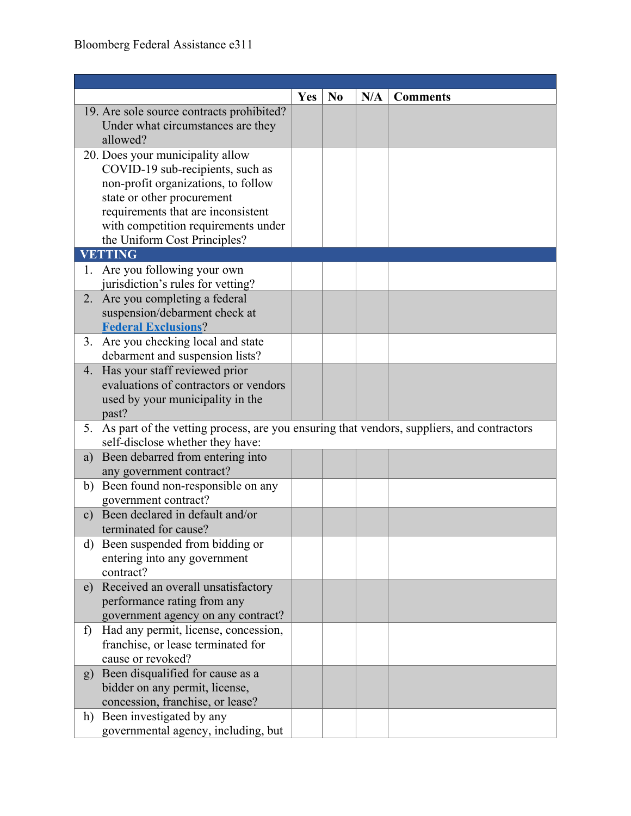|    |                                                                                              | <b>Yes</b> | N <sub>0</sub> | N/A | <b>Comments</b> |
|----|----------------------------------------------------------------------------------------------|------------|----------------|-----|-----------------|
|    | 19. Are sole source contracts prohibited?                                                    |            |                |     |                 |
|    | Under what circumstances are they                                                            |            |                |     |                 |
|    | allowed?                                                                                     |            |                |     |                 |
|    | 20. Does your municipality allow                                                             |            |                |     |                 |
|    | COVID-19 sub-recipients, such as                                                             |            |                |     |                 |
|    | non-profit organizations, to follow                                                          |            |                |     |                 |
|    | state or other procurement                                                                   |            |                |     |                 |
|    | requirements that are inconsistent                                                           |            |                |     |                 |
|    | with competition requirements under                                                          |            |                |     |                 |
|    | the Uniform Cost Principles?                                                                 |            |                |     |                 |
|    | <b>VETTING</b>                                                                               |            |                |     |                 |
|    | 1. Are you following your own                                                                |            |                |     |                 |
|    | jurisdiction's rules for vetting?                                                            |            |                |     |                 |
|    | 2. Are you completing a federal                                                              |            |                |     |                 |
|    | suspension/debarment check at                                                                |            |                |     |                 |
|    | <b>Federal Exclusions?</b>                                                                   |            |                |     |                 |
|    | 3. Are you checking local and state<br>debarment and suspension lists?                       |            |                |     |                 |
|    | 4. Has your staff reviewed prior                                                             |            |                |     |                 |
|    | evaluations of contractors or vendors                                                        |            |                |     |                 |
|    | used by your municipality in the                                                             |            |                |     |                 |
|    | past?                                                                                        |            |                |     |                 |
|    | 5. As part of the vetting process, are you ensuring that vendors, suppliers, and contractors |            |                |     |                 |
|    | self-disclose whether they have:                                                             |            |                |     |                 |
| a) | Been debarred from entering into                                                             |            |                |     |                 |
|    | any government contract?                                                                     |            |                |     |                 |
|    | b) Been found non-responsible on any                                                         |            |                |     |                 |
|    | government contract?                                                                         |            |                |     |                 |
|    | c) Been declared in default and/or                                                           |            |                |     |                 |
|    | terminated for cause?                                                                        |            |                |     |                 |
|    | d) Been suspended from bidding or                                                            |            |                |     |                 |
|    | entering into any government                                                                 |            |                |     |                 |
|    | contract?                                                                                    |            |                |     |                 |
|    | e) Received an overall unsatisfactory                                                        |            |                |     |                 |
|    | performance rating from any                                                                  |            |                |     |                 |
|    | government agency on any contract?                                                           |            |                |     |                 |
| f) | Had any permit, license, concession,                                                         |            |                |     |                 |
|    | franchise, or lease terminated for                                                           |            |                |     |                 |
|    | cause or revoked?                                                                            |            |                |     |                 |
|    | g) Been disqualified for cause as a                                                          |            |                |     |                 |
|    | bidder on any permit, license,                                                               |            |                |     |                 |
|    | concession, franchise, or lease?                                                             |            |                |     |                 |
|    | h) Been investigated by any                                                                  |            |                |     |                 |
|    | governmental agency, including, but                                                          |            |                |     |                 |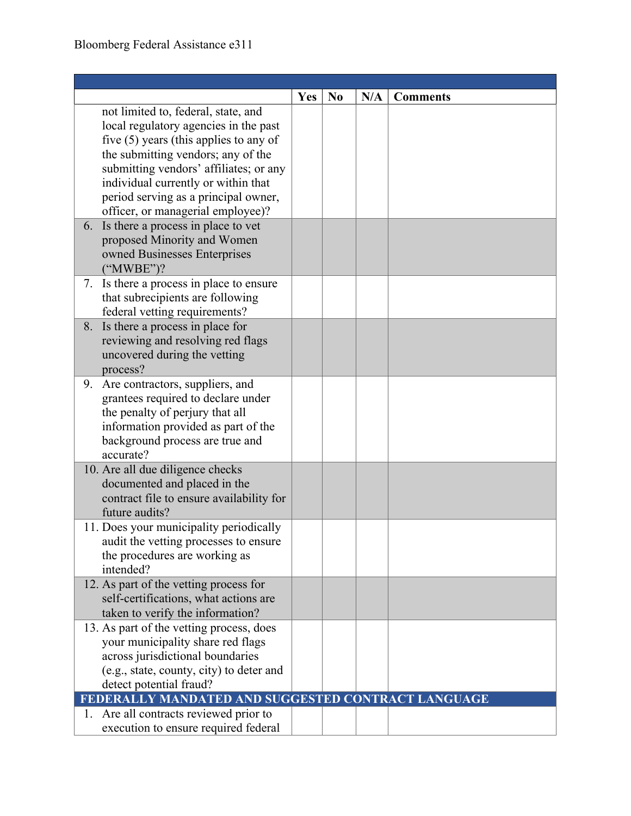|                                                    | <b>Yes</b> | N <sub>0</sub> | N/A | <b>Comments</b> |
|----------------------------------------------------|------------|----------------|-----|-----------------|
| not limited to, federal, state, and                |            |                |     |                 |
| local regulatory agencies in the past              |            |                |     |                 |
| five $(5)$ years (this applies to any of           |            |                |     |                 |
| the submitting vendors; any of the                 |            |                |     |                 |
| submitting vendors' affiliates; or any             |            |                |     |                 |
| individual currently or within that                |            |                |     |                 |
| period serving as a principal owner,               |            |                |     |                 |
| officer, or managerial employee)?                  |            |                |     |                 |
| 6. Is there a process in place to vet              |            |                |     |                 |
| proposed Minority and Women                        |            |                |     |                 |
| owned Businesses Enterprises                       |            |                |     |                 |
| $("MWBE")$ ?                                       |            |                |     |                 |
| 7. Is there a process in place to ensure           |            |                |     |                 |
| that subrecipients are following                   |            |                |     |                 |
| federal vetting requirements?                      |            |                |     |                 |
| 8. Is there a process in place for                 |            |                |     |                 |
| reviewing and resolving red flags                  |            |                |     |                 |
| uncovered during the vetting                       |            |                |     |                 |
| process?                                           |            |                |     |                 |
| 9. Are contractors, suppliers, and                 |            |                |     |                 |
| grantees required to declare under                 |            |                |     |                 |
| the penalty of perjury that all                    |            |                |     |                 |
| information provided as part of the                |            |                |     |                 |
| background process are true and                    |            |                |     |                 |
| accurate?                                          |            |                |     |                 |
| 10. Are all due diligence checks                   |            |                |     |                 |
| documented and placed in the                       |            |                |     |                 |
| contract file to ensure availability for           |            |                |     |                 |
| future audits?                                     |            |                |     |                 |
| 11. Does your municipality periodically            |            |                |     |                 |
| audit the vetting processes to ensure              |            |                |     |                 |
| the procedures are working as                      |            |                |     |                 |
| intended?                                          |            |                |     |                 |
| 12. As part of the vetting process for             |            |                |     |                 |
| self-certifications, what actions are              |            |                |     |                 |
| taken to verify the information?                   |            |                |     |                 |
| 13. As part of the vetting process, does           |            |                |     |                 |
| your municipality share red flags                  |            |                |     |                 |
| across jurisdictional boundaries                   |            |                |     |                 |
| (e.g., state, county, city) to deter and           |            |                |     |                 |
| detect potential fraud?                            |            |                |     |                 |
| FEDERALLY MANDATED AND SUGGESTED CONTRACT LANGUAGE |            |                |     |                 |
| 1. Are all contracts reviewed prior to             |            |                |     |                 |
| execution to ensure required federal               |            |                |     |                 |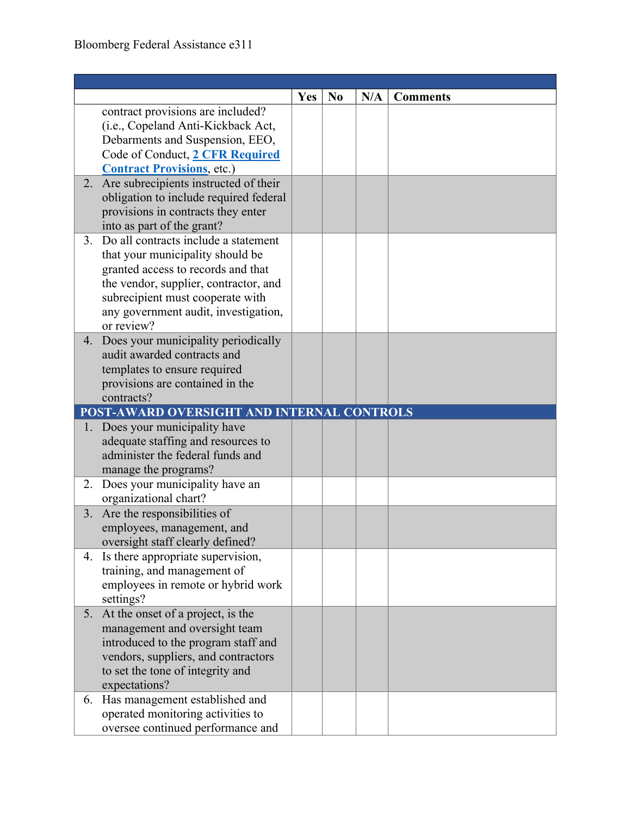|    |                                                                                                                                                                                                                                                      | <b>Yes</b> | N <sub>0</sub> | N/A | <b>Comments</b> |
|----|------------------------------------------------------------------------------------------------------------------------------------------------------------------------------------------------------------------------------------------------------|------------|----------------|-----|-----------------|
|    | contract provisions are included?<br>(i.e., Copeland Anti-Kickback Act,<br>Debarments and Suspension, EEO,<br>Code of Conduct, 2 CFR Required<br><b>Contract Provisions</b> , etc.)                                                                  |            |                |     |                 |
|    | 2. Are subrecipients instructed of their<br>obligation to include required federal<br>provisions in contracts they enter<br>into as part of the grant?                                                                                               |            |                |     |                 |
|    | 3. Do all contracts include a statement<br>that your municipality should be<br>granted access to records and that<br>the vendor, supplier, contractor, and<br>subrecipient must cooperate with<br>any government audit, investigation,<br>or review? |            |                |     |                 |
|    | 4. Does your municipality periodically<br>audit awarded contracts and<br>templates to ensure required<br>provisions are contained in the<br>contracts?                                                                                               |            |                |     |                 |
|    | POST-AWARD OVERSIGHT AND INTERNAL CONTROLS                                                                                                                                                                                                           |            |                |     |                 |
|    | 1. Does your municipality have<br>adequate staffing and resources to<br>administer the federal funds and<br>manage the programs?                                                                                                                     |            |                |     |                 |
|    | 2. Does your municipality have an<br>organizational chart?                                                                                                                                                                                           |            |                |     |                 |
| 3. | Are the responsibilities of<br>employees, management, and<br>oversight staff clearly defined?                                                                                                                                                        |            |                |     |                 |
|    | 4. Is there appropriate supervision,<br>training, and management of<br>employees in remote or hybrid work<br>settings?                                                                                                                               |            |                |     |                 |
|    | 5. At the onset of a project, is the<br>management and oversight team<br>introduced to the program staff and<br>vendors, suppliers, and contractors<br>to set the tone of integrity and<br>expectations?                                             |            |                |     |                 |
|    | 6. Has management established and<br>operated monitoring activities to<br>oversee continued performance and                                                                                                                                          |            |                |     |                 |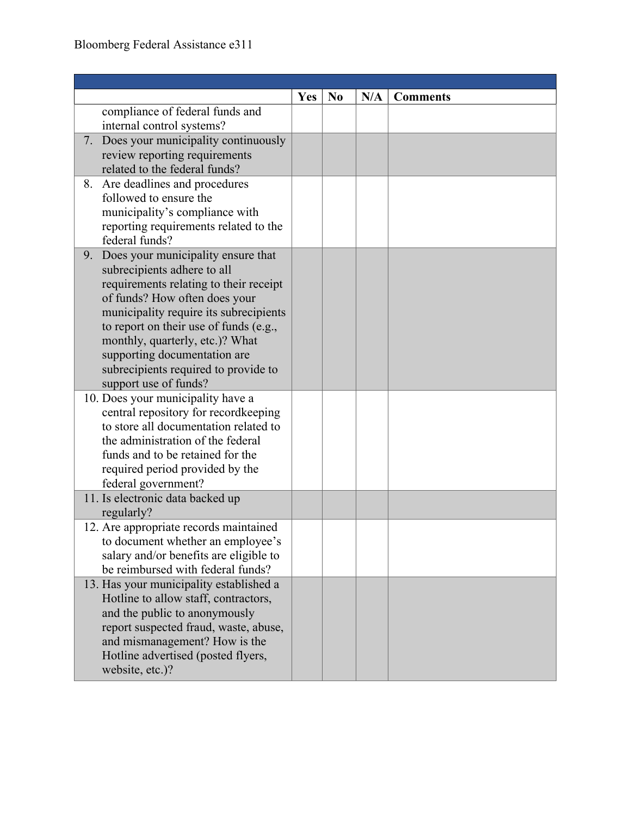|    |                                                                       | <b>Yes</b> | N <sub>0</sub> | N/A | <b>Comments</b> |
|----|-----------------------------------------------------------------------|------------|----------------|-----|-----------------|
|    | compliance of federal funds and                                       |            |                |     |                 |
|    | internal control systems?                                             |            |                |     |                 |
|    | 7. Does your municipality continuously                                |            |                |     |                 |
|    | review reporting requirements                                         |            |                |     |                 |
|    | related to the federal funds?                                         |            |                |     |                 |
| 8. | Are deadlines and procedures                                          |            |                |     |                 |
|    | followed to ensure the                                                |            |                |     |                 |
|    | municipality's compliance with                                        |            |                |     |                 |
|    | reporting requirements related to the<br>federal funds?               |            |                |     |                 |
| 9. | Does your municipality ensure that                                    |            |                |     |                 |
|    | subrecipients adhere to all                                           |            |                |     |                 |
|    | requirements relating to their receipt                                |            |                |     |                 |
|    | of funds? How often does your                                         |            |                |     |                 |
|    | municipality require its subrecipients                                |            |                |     |                 |
|    | to report on their use of funds (e.g.,                                |            |                |     |                 |
|    | monthly, quarterly, etc.)? What                                       |            |                |     |                 |
|    | supporting documentation are                                          |            |                |     |                 |
|    | subrecipients required to provide to                                  |            |                |     |                 |
|    | support use of funds?                                                 |            |                |     |                 |
|    | 10. Does your municipality have a                                     |            |                |     |                 |
|    | central repository for recordkeeping                                  |            |                |     |                 |
|    | to store all documentation related to                                 |            |                |     |                 |
|    | the administration of the federal<br>funds and to be retained for the |            |                |     |                 |
|    |                                                                       |            |                |     |                 |
|    | required period provided by the<br>federal government?                |            |                |     |                 |
|    | 11. Is electronic data backed up                                      |            |                |     |                 |
|    | regularly?                                                            |            |                |     |                 |
|    | 12. Are appropriate records maintained                                |            |                |     |                 |
|    | to document whether an employee's                                     |            |                |     |                 |
|    | salary and/or benefits are eligible to                                |            |                |     |                 |
|    | be reimbursed with federal funds?                                     |            |                |     |                 |
|    | 13. Has your municipality established a                               |            |                |     |                 |
|    | Hotline to allow staff, contractors,                                  |            |                |     |                 |
|    | and the public to anonymously                                         |            |                |     |                 |
|    | report suspected fraud, waste, abuse,                                 |            |                |     |                 |
|    | and mismanagement? How is the                                         |            |                |     |                 |
|    | Hotline advertised (posted flyers,                                    |            |                |     |                 |
|    | website, etc.)?                                                       |            |                |     |                 |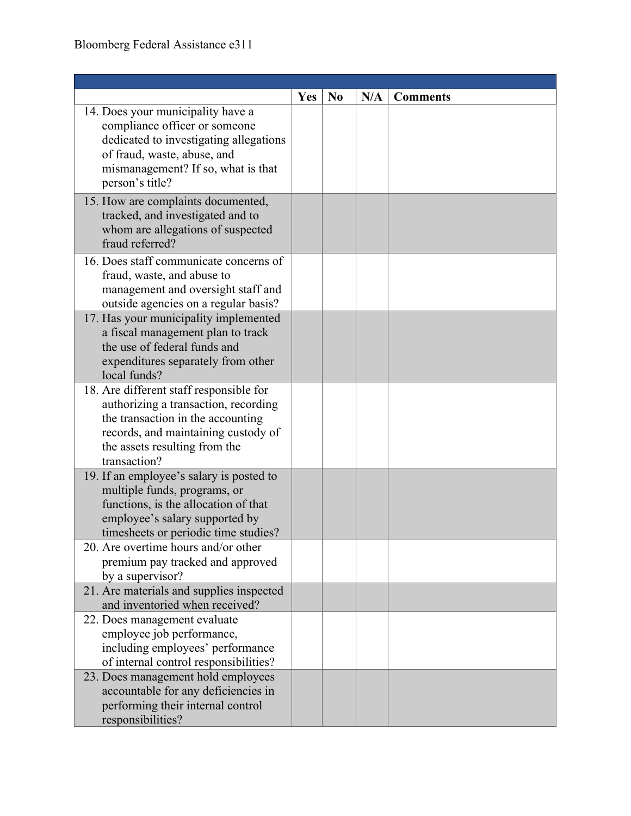|                                                                            | Yes | N <sub>0</sub> | N/A | <b>Comments</b> |
|----------------------------------------------------------------------------|-----|----------------|-----|-----------------|
| 14. Does your municipality have a                                          |     |                |     |                 |
| compliance officer or someone                                              |     |                |     |                 |
| dedicated to investigating allegations                                     |     |                |     |                 |
| of fraud, waste, abuse, and                                                |     |                |     |                 |
| mismanagement? If so, what is that                                         |     |                |     |                 |
| person's title?                                                            |     |                |     |                 |
| 15. How are complaints documented,                                         |     |                |     |                 |
| tracked, and investigated and to                                           |     |                |     |                 |
| whom are allegations of suspected<br>fraud referred?                       |     |                |     |                 |
|                                                                            |     |                |     |                 |
| 16. Does staff communicate concerns of                                     |     |                |     |                 |
| fraud, waste, and abuse to                                                 |     |                |     |                 |
| management and oversight staff and                                         |     |                |     |                 |
| outside agencies on a regular basis?                                       |     |                |     |                 |
| 17. Has your municipality implemented<br>a fiscal management plan to track |     |                |     |                 |
| the use of federal funds and                                               |     |                |     |                 |
| expenditures separately from other                                         |     |                |     |                 |
| local funds?                                                               |     |                |     |                 |
| 18. Are different staff responsible for                                    |     |                |     |                 |
| authorizing a transaction, recording                                       |     |                |     |                 |
| the transaction in the accounting                                          |     |                |     |                 |
| records, and maintaining custody of                                        |     |                |     |                 |
| the assets resulting from the                                              |     |                |     |                 |
| transaction?                                                               |     |                |     |                 |
| 19. If an employee's salary is posted to                                   |     |                |     |                 |
| multiple funds, programs, or                                               |     |                |     |                 |
| functions, is the allocation of that                                       |     |                |     |                 |
| employee's salary supported by                                             |     |                |     |                 |
| timesheets or periodic time studies?                                       |     |                |     |                 |
| 20. Are overtime hours and/or other                                        |     |                |     |                 |
| premium pay tracked and approved                                           |     |                |     |                 |
| by a supervisor?<br>21. Are materials and supplies inspected               |     |                |     |                 |
| and inventoried when received?                                             |     |                |     |                 |
| 22. Does management evaluate                                               |     |                |     |                 |
| employee job performance,                                                  |     |                |     |                 |
| including employees' performance                                           |     |                |     |                 |
| of internal control responsibilities?                                      |     |                |     |                 |
| 23. Does management hold employees                                         |     |                |     |                 |
| accountable for any deficiencies in                                        |     |                |     |                 |
| performing their internal control                                          |     |                |     |                 |
| responsibilities?                                                          |     |                |     |                 |